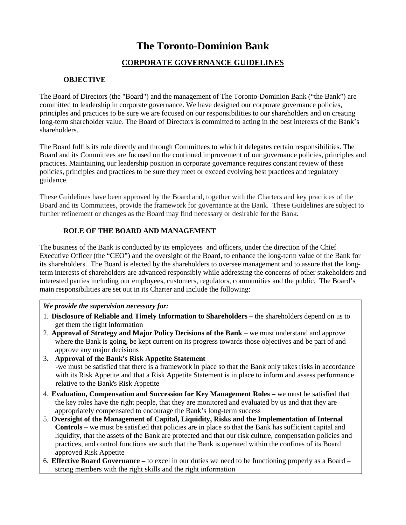# **The Toronto-Dominion Bank**

# **CORPORATE GOVERNANCE GUIDELINES**

# **OBJECTIVE**

The Board of Directors (the "Board") and the management of The Toronto-Dominion Bank ("the Bank") are committed to leadership in corporate governance. We have designed our corporate governance policies, principles and practices to be sure we are focused on our responsibilities to our shareholders and on creating long-term shareholder value. The Board of Directors is committed to acting in the best interests of the Bank's shareholders.

The Board fulfils its role directly and through Committees to which it delegates certain responsibilities. The Board and its Committees are focused on the continued improvement of our governance policies, principles and practices. Maintaining our leadership position in corporate governance requires constant review of these policies, principles and practices to be sure they meet or exceed evolving best practices and regulatory guidance.

These Guidelines have been approved by the Board and, together with the Charters and key practices of the Board and its Committees, provide the framework for governance at the Bank. These Guidelines are subject to further refinement or changes as the Board may find necessary or desirable for the Bank.

# **ROLE OF THE BOARD AND MANAGEMENT**

The business of the Bank is conducted by its employees and officers, under the direction of the Chief Executive Officer (the "CEO") and the oversight of the Board, to enhance the long-term value of the Bank for its shareholders. The Board is elected by the shareholders to oversee management and to assure that the longterm interests of shareholders are advanced responsibly while addressing the concerns of other stakeholders and interested parties including our employees, customers, regulators, communities and the public. The Board's main responsibilities are set out in its Charter and include the following:

# *We provide the supervision necessary for:*

- 1. **Disclosure of Reliable and Timely Information to Shareholders –** the shareholders depend on us to get them the right information
- 2. **Approval of Strategy and Major Policy Decisions of the Bank** we must understand and approve where the Bank is going, be kept current on its progress towards those objectives and be part of and approve any major decisions
- 3. **Approval of the Bank's Risk Appetite Statement** -we must be satisfied that there is a framework in place so that the Bank only takes risks in accordance with its Risk Appetite and that a Risk Appetite Statement is in place to inform and assess performance relative to the Bank's Risk Appetite
- 4. **Evaluation, Compensation and Succession for Key Management Roles –** we must be satisfied that the key roles have the right people, that they are monitored and evaluated by us and that they are appropriately compensated to encourage the Bank's long-term success
- 5. **Oversight of the Management of Capital, Liquidity, Risks and the Implementation of Internal Controls –** we must be satisfied that policies are in place so that the Bank has sufficient capital and liquidity, that the assets of the Bank are protected and that our risk culture, compensation policies and practices, and control functions are such that the Bank is operated within the confines of its Board approved Risk Appetite
- 6. **Effective Board Governance –** to excel in our duties we need to be functioning properly as a Board strong members with the right skills and the right information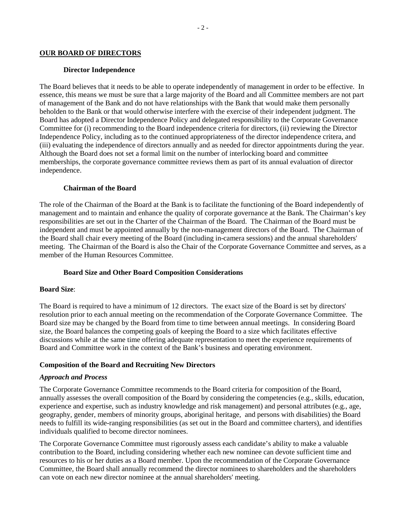### **OUR BOARD OF DIRECTORS**

#### **Director Independence**

The Board believes that it needs to be able to operate independently of management in order to be effective. In essence, this means we must be sure that a large majority of the Board and all Committee members are not part of management of the Bank and do not have relationships with the Bank that would make them personally beholden to the Bank or that would otherwise interfere with the exercise of their independent judgment. The Board has adopted a Director Independence Policy and delegated responsibility to the Corporate Governance Committee for (i) recommending to the Board independence criteria for directors, (ii) reviewing the Director Independence Policy, including as to the continued appropriateness of the director independence critera, and (iii) evaluating the independence of directors annually and as needed for director appointments during the year. Although the Board does not set a formal limit on the number of interlocking board and committee memberships, the corporate governance committee reviews them as part of its annual evaluation of director independence.

#### **Chairman of the Board**

The role of the Chairman of the Board at the Bank is to facilitate the functioning of the Board independently of management and to maintain and enhance the quality of corporate governance at the Bank. The Chairman's key responsibilities are set out in the Charter of the Chairman of the Board. The Chairman of the Board must be independent and must be appointed annually by the non-management directors of the Board. The Chairman of the Board shall chair every meeting of the Board (including in-camera sessions) and the annual shareholders' meeting. The Chairman of the Board is also the Chair of the Corporate Governance Committee and serves, as a member of the Human Resources Committee.

#### **Board Size and Other Board Composition Considerations**

#### **Board Size**:

The Board is required to have a minimum of 12 directors. The exact size of the Board is set by directors' resolution prior to each annual meeting on the recommendation of the Corporate Governance Committee. The Board size may be changed by the Board from time to time between annual meetings. In considering Board size, the Board balances the competing goals of keeping the Board to a size which facilitates effective discussions while at the same time offering adequate representation to meet the experience requirements of Board and Committee work in the context of the Bank's business and operating environment.

### **Composition of the Board and Recruiting New Directors**

#### *Approach and Process*

The Corporate Governance Committee recommends to the Board criteria for composition of the Board, annually assesses the overall composition of the Board by considering the competencies (e.g., skills, education, experience and expertise, such as industry knowledge and risk management) and personal attributes (e.g., age, geography, gender, members of minority groups, aboriginal heritage, and persons with disabilities) the Board needs to fulfill its wide-ranging responsibilities (as set out in the Board and committee charters), and identifies individuals qualified to become director nominees.

The Corporate Governance Committee must rigorously assess each candidate's ability to make a valuable contribution to the Board, including considering whether each new nominee can devote sufficient time and resources to his or her duties as a Board member. Upon the recommendation of the Corporate Governance Committee, the Board shall annually recommend the director nominees to shareholders and the shareholders can vote on each new director nominee at the annual shareholders' meeting.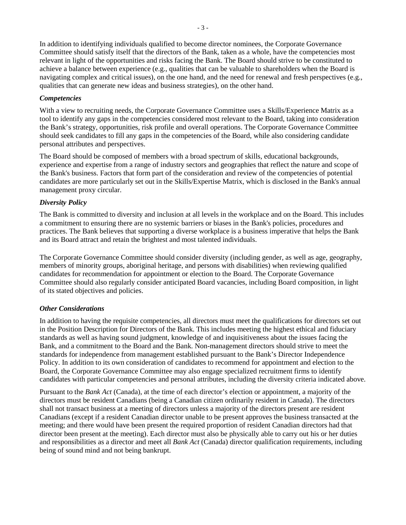In addition to identifying individuals qualified to become director nominees, the Corporate Governance Committee should satisfy itself that the directors of the Bank, taken as a whole, have the competencies most relevant in light of the opportunities and risks facing the Bank. The Board should strive to be constituted to achieve a balance between experience (e.g., qualities that can be valuable to shareholders when the Board is navigating complex and critical issues), on the one hand, and the need for renewal and fresh perspectives (e.g., qualities that can generate new ideas and business strategies), on the other hand.

# *Competencies*

With a view to recruiting needs, the Corporate Governance Committee uses a Skills/Experience Matrix as a tool to identify any gaps in the competencies considered most relevant to the Board, taking into consideration the Bank's strategy, opportunities, risk profile and overall operations. The Corporate Governance Committee should seek candidates to fill any gaps in the competencies of the Board, while also considering candidate personal attributes and perspectives.

The Board should be composed of members with a broad spectrum of skills, educational backgrounds, experience and expertise from a range of industry sectors and geographies that reflect the nature and scope of the Bank's business. Factors that form part of the consideration and review of the competencies of potential candidates are more particularly set out in the Skills/Expertise Matrix, which is disclosed in the Bank's annual management proxy circular.

# *Diversity Policy*

The Bank is committed to diversity and inclusion at all levels in the workplace and on the Board. This includes a commitment to ensuring there are no systemic barriers or biases in the Bank's policies, procedures and practices. The Bank believes that supporting a diverse workplace is a business imperative that helps the Bank and its Board attract and retain the brightest and most talented individuals.

The Corporate Governance Committee should consider diversity (including gender, as well as age, geography, members of minority groups, aboriginal heritage, and persons with disabilities) when reviewing qualified candidates for recommendation for appointment or election to the Board. The Corporate Governance Committee should also regularly consider anticipated Board vacancies, including Board composition, in light of its stated objectives and policies.

# *Other Considerations*

In addition to having the requisite competencies, all directors must meet the qualifications for directors set out in the Position Description for Directors of the Bank. This includes meeting the highest ethical and fiduciary standards as well as having sound judgment, knowledge of and inquisitiveness about the issues facing the Bank, and a commitment to the Board and the Bank. Non-management directors should strive to meet the standards for independence from management established pursuant to the Bank's Director Independence Policy. In addition to its own consideration of candidates to recommend for appointment and election to the Board, the Corporate Governance Committee may also engage specialized recruitment firms to identify candidates with particular competencies and personal attributes, including the diversity criteria indicated above.

Pursuant to the *Bank Act* (Canada), at the time of each director's election or appointment, a majority of the directors must be resident Canadians (being a Canadian citizen ordinarily resident in Canada). The directors shall not transact business at a meeting of directors unless a majority of the directors present are resident Canadians (except if a resident Canadian director unable to be present approves the business transacted at the meeting; and there would have been present the required proportion of resident Canadian directors had that director been present at the meeting). Each director must also be physically able to carry out his or her duties and responsibilities as a director and meet all *Bank Act* (Canada) director qualification requirements, including being of sound mind and not being bankrupt.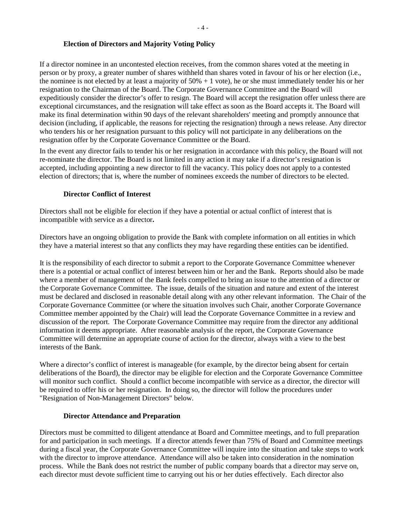# **Election of Directors and Majority Voting Policy**

If a director nominee in an uncontested election receives, from the common shares voted at the meeting in person or by proxy, a greater number of shares withheld than shares voted in favour of his or her election (i.e., the nominee is not elected by at least a majority of  $50\% + 1$  vote), he or she must immediately tender his or her resignation to the Chairman of the Board. The Corporate Governance Committee and the Board will expeditiously consider the director's offer to resign. The Board will accept the resignation offer unless there are exceptional circumstances, and the resignation will take effect as soon as the Board accepts it. The Board will make its final determination within 90 days of the relevant shareholders' meeting and promptly announce that decision (including, if applicable, the reasons for rejecting the resignation) through a news release. Any director who tenders his or her resignation pursuant to this policy will not participate in any deliberations on the resignation offer by the Corporate Governance Committee or the Board.

In the event any director fails to tender his or her resignation in accordance with this policy, the Board will not re-nominate the director. The Board is not limited in any action it may take if a director's resignation is accepted, including appointing a new director to fill the vacancy. This policy does not apply to a contested election of directors; that is, where the number of nominees exceeds the number of directors to be elected.

### **Director Conflict of Interest**

Directors shall not be eligible for election if they have a potential or actual conflict of interest that is incompatible with service as a director**.** 

Directors have an ongoing obligation to provide the Bank with complete information on all entities in which they have a material interest so that any conflicts they may have regarding these entities can be identified.

It is the responsibility of each director to submit a report to the Corporate Governance Committee whenever there is a potential or actual conflict of interest between him or her and the Bank. Reports should also be made where a member of management of the Bank feels compelled to bring an issue to the attention of a director or the Corporate Governance Committee. The issue, details of the situation and nature and extent of the interest must be declared and disclosed in reasonable detail along with any other relevant information. The Chair of the Corporate Governance Committee (or where the situation involves such Chair, another Corporate Governance Committee member appointed by the Chair) will lead the Corporate Governance Committee in a review and discussion of the report. The Corporate Governance Committee may require from the director any additional information it deems appropriate. After reasonable analysis of the report, the Corporate Governance Committee will determine an appropriate course of action for the director, always with a view to the best interests of the Bank.

Where a director's conflict of interest is manageable (for example, by the director being absent for certain deliberations of the Board), the director may be eligible for election and the Corporate Governance Committee will monitor such conflict. Should a conflict become incompatible with service as a director, the director will be required to offer his or her resignation. In doing so, the director will follow the procedures under "Resignation of Non-Management Directors" below.

### **Director Attendance and Preparation**

Directors must be committed to diligent attendance at Board and Committee meetings, and to full preparation for and participation in such meetings. If a director attends fewer than 75% of Board and Committee meetings during a fiscal year, the Corporate Governance Committee will inquire into the situation and take steps to work with the director to improve attendance. Attendance will also be taken into consideration in the nomination process. While the Bank does not restrict the number of public company boards that a director may serve on, each director must devote sufficient time to carrying out his or her duties effectively. Each director also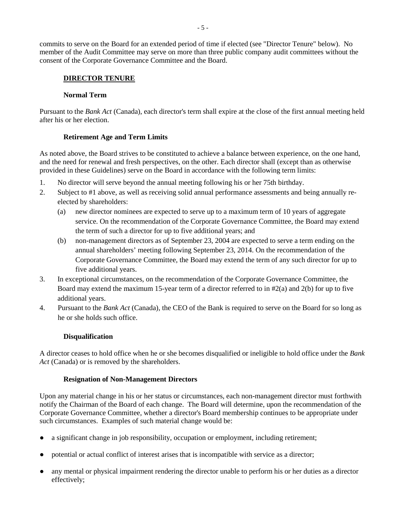commits to serve on the Board for an extended period of time if elected (see "Director Tenure" below). No member of the Audit Committee may serve on more than three public company audit committees without the consent of the Corporate Governance Committee and the Board.

# **DIRECTOR TENURE**

# **Normal Term**

Pursuant to the *Bank Act* (Canada), each director's term shall expire at the close of the first annual meeting held after his or her election.

# **Retirement Age and Term Limits**

As noted above, the Board strives to be constituted to achieve a balance between experience, on the one hand, and the need for renewal and fresh perspectives, on the other. Each director shall (except than as otherwise provided in these Guidelines) serve on the Board in accordance with the following term limits:

- 1. No director will serve beyond the annual meeting following his or her 75th birthday.
- 2. Subject to #1 above, as well as receiving solid annual performance assessments and being annually reelected by shareholders:
	- (a) new director nominees are expected to serve up to a maximum term of 10 years of aggregate service. On the recommendation of the Corporate Governance Committee, the Board may extend the term of such a director for up to five additional years; and
	- (b) non-management directors as of September 23, 2004 are expected to serve a term ending on the annual shareholders' meeting following September 23, 2014. On the recommendation of the Corporate Governance Committee, the Board may extend the term of any such director for up to five additional years.
- 3. In exceptional circumstances, on the recommendation of the Corporate Governance Committee, the Board may extend the maximum 15-year term of a director referred to in #2(a) and 2(b) for up to five additional years.
- 4. Pursuant to the *Bank Act* (Canada), the CEO of the Bank is required to serve on the Board for so long as he or she holds such office.

# **Disqualification**

A director ceases to hold office when he or she becomes disqualified or ineligible to hold office under the *Bank Act* (Canada) or is removed by the shareholders.

# **Resignation of Non-Management Directors**

Upon any material change in his or her status or circumstances, each non-management director must forthwith notify the Chairman of the Board of each change. The Board will determine, upon the recommendation of the Corporate Governance Committee, whether a director's Board membership continues to be appropriate under such circumstances. Examples of such material change would be:

- a significant change in job responsibility, occupation or employment, including retirement;
- potential or actual conflict of interest arises that is incompatible with service as a director;
- any mental or physical impairment rendering the director unable to perform his or her duties as a director effectively;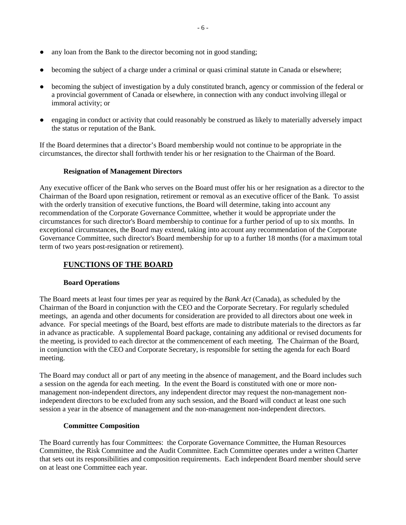- any loan from the Bank to the director becoming not in good standing;
- becoming the subject of a charge under a criminal or quasi criminal statute in Canada or elsewhere;
- becoming the subject of investigation by a duly constituted branch, agency or commission of the federal or a provincial government of Canada or elsewhere, in connection with any conduct involving illegal or immoral activity; or
- engaging in conduct or activity that could reasonably be construed as likely to materially adversely impact the status or reputation of the Bank.

If the Board determines that a director's Board membership would not continue to be appropriate in the circumstances, the director shall forthwith tender his or her resignation to the Chairman of the Board.

# **Resignation of Management Directors**

Any executive officer of the Bank who serves on the Board must offer his or her resignation as a director to the Chairman of the Board upon resignation, retirement or removal as an executive officer of the Bank. To assist with the orderly transition of executive functions, the Board will determine, taking into account any recommendation of the Corporate Governance Committee, whether it would be appropriate under the circumstances for such director's Board membership to continue for a further period of up to six months. In exceptional circumstances, the Board may extend, taking into account any recommendation of the Corporate Governance Committee, such director's Board membership for up to a further 18 months (for a maximum total term of two years post-resignation or retirement).

# **FUNCTIONS OF THE BOARD**

# **Board Operations**

The Board meets at least four times per year as required by the *Bank Act* (Canada), as scheduled by the Chairman of the Board in conjunction with the CEO and the Corporate Secretary. For regularly scheduled meetings, an agenda and other documents for consideration are provided to all directors about one week in advance. For special meetings of the Board, best efforts are made to distribute materials to the directors as far in advance as practicable. A supplemental Board package, containing any additional or revised documents for the meeting, is provided to each director at the commencement of each meeting. The Chairman of the Board, in conjunction with the CEO and Corporate Secretary, is responsible for setting the agenda for each Board meeting.

The Board may conduct all or part of any meeting in the absence of management, and the Board includes such a session on the agenda for each meeting. In the event the Board is constituted with one or more nonmanagement non-independent directors, any independent director may request the non-management nonindependent directors to be excluded from any such session, and the Board will conduct at least one such session a year in the absence of management and the non-management non-independent directors.

# **Committee Composition**

The Board currently has four Committees: the Corporate Governance Committee, the Human Resources Committee, the Risk Committee and the Audit Committee. Each Committee operates under a written Charter that sets out its responsibilities and composition requirements. Each independent Board member should serve on at least one Committee each year.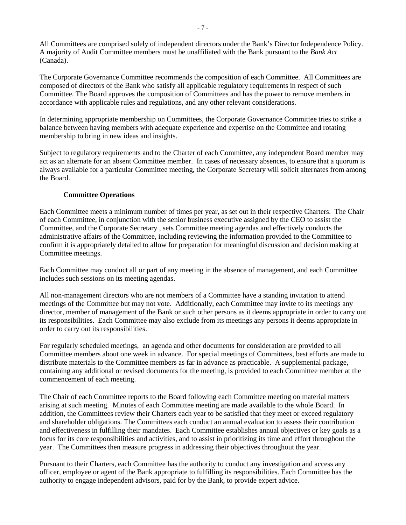All Committees are comprised solely of independent directors under the Bank's Director Independence Policy. A majority of Audit Committee members must be unaffiliated with the Bank pursuant to the *Bank Act*  (Canada).

The Corporate Governance Committee recommends the composition of each Committee. All Committees are composed of directors of the Bank who satisfy all applicable regulatory requirements in respect of such Committee. The Board approves the composition of Committees and has the power to remove members in accordance with applicable rules and regulations, and any other relevant considerations.

In determining appropriate membership on Committees, the Corporate Governance Committee tries to strike a balance between having members with adequate experience and expertise on the Committee and rotating membership to bring in new ideas and insights.

Subject to regulatory requirements and to the Charter of each Committee, any independent Board member may act as an alternate for an absent Committee member. In cases of necessary absences, to ensure that a quorum is always available for a particular Committee meeting, the Corporate Secretary will solicit alternates from among the Board.

# **Committee Operations**

Each Committee meets a minimum number of times per year, as set out in their respective Charters. The Chair of each Committee, in conjunction with the senior business executive assigned by the CEO to assist the Committee, and the Corporate Secretary , sets Committee meeting agendas and effectively conducts the administrative affairs of the Committee, including reviewing the information provided to the Committee to confirm it is appropriately detailed to allow for preparation for meaningful discussion and decision making at Committee meetings.

Each Committee may conduct all or part of any meeting in the absence of management, and each Committee includes such sessions on its meeting agendas.

All non-management directors who are not members of a Committee have a standing invitation to attend meetings of the Committee but may not vote. Additionally, each Committee may invite to its meetings any director, member of management of the Bank or such other persons as it deems appropriate in order to carry out its responsibilities. Each Committee may also exclude from its meetings any persons it deems appropriate in order to carry out its responsibilities.

For regularly scheduled meetings, an agenda and other documents for consideration are provided to all Committee members about one week in advance. For special meetings of Committees, best efforts are made to distribute materials to the Committee members as far in advance as practicable. A supplemental package, containing any additional or revised documents for the meeting, is provided to each Committee member at the commencement of each meeting.

The Chair of each Committee reports to the Board following each Committee meeting on material matters arising at such meeting. Minutes of each Committee meeting are made available to the whole Board. In addition, the Committees review their Charters each year to be satisfied that they meet or exceed regulatory and shareholder obligations. The Committees each conduct an annual evaluation to assess their contribution and effectiveness in fulfilling their mandates. Each Committee establishes annual objectives or key goals as a focus for its core responsibilities and activities, and to assist in prioritizing its time and effort throughout the year. The Committees then measure progress in addressing their objectives throughout the year.

Pursuant to their Charters, each Committee has the authority to conduct any investigation and access any officer, employee or agent of the Bank appropriate to fulfilling its responsibilities. Each Committee has the authority to engage independent advisors, paid for by the Bank, to provide expert advice.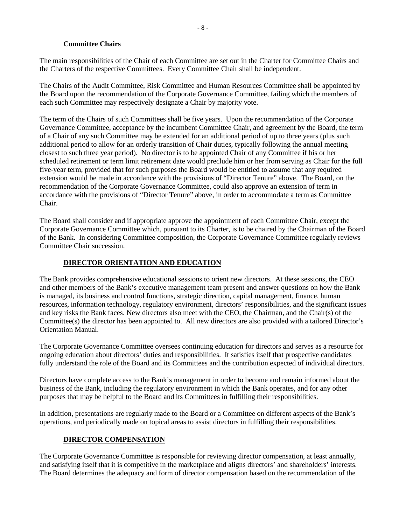# **Committee Chairs**

The main responsibilities of the Chair of each Committee are set out in the Charter for Committee Chairs and the Charters of the respective Committees. Every Committee Chair shall be independent.

The Chairs of the Audit Committee, Risk Committee and Human Resources Committee shall be appointed by the Board upon the recommendation of the Corporate Governance Committee, failing which the members of each such Committee may respectively designate a Chair by majority vote.

The term of the Chairs of such Committees shall be five years. Upon the recommendation of the Corporate Governance Committee, acceptance by the incumbent Committee Chair, and agreement by the Board, the term of a Chair of any such Committee may be extended for an additional period of up to three years (plus such additional period to allow for an orderly transition of Chair duties, typically following the annual meeting closest to such three year period). No director is to be appointed Chair of any Committee if his or her scheduled retirement or term limit retirement date would preclude him or her from serving as Chair for the full five-year term, provided that for such purposes the Board would be entitled to assume that any required extension would be made in accordance with the provisions of "Director Tenure" above. The Board, on the recommendation of the Corporate Governance Committee, could also approve an extension of term in accordance with the provisions of "Director Tenure" above, in order to accommodate a term as Committee Chair.

The Board shall consider and if appropriate approve the appointment of each Committee Chair, except the Corporate Governance Committee which, pursuant to its Charter, is to be chaired by the Chairman of the Board of the Bank. In considering Committee composition, the Corporate Governance Committee regularly reviews Committee Chair succession.

# **DIRECTOR ORIENTATION AND EDUCATION**

The Bank provides comprehensive educational sessions to orient new directors. At these sessions, the CEO and other members of the Bank's executive management team present and answer questions on how the Bank is managed, its business and control functions, strategic direction, capital management, finance, human resources, information technology, regulatory environment, directors' responsibilities, and the significant issues and key risks the Bank faces. New directors also meet with the CEO, the Chairman, and the Chair(s) of the Committee(s) the director has been appointed to. All new directors are also provided with a tailored Director's Orientation Manual.

The Corporate Governance Committee oversees continuing education for directors and serves as a resource for ongoing education about directors' duties and responsibilities. It satisfies itself that prospective candidates fully understand the role of the Board and its Committees and the contribution expected of individual directors.

Directors have complete access to the Bank's management in order to become and remain informed about the business of the Bank, including the regulatory environment in which the Bank operates, and for any other purposes that may be helpful to the Board and its Committees in fulfilling their responsibilities.

In addition, presentations are regularly made to the Board or a Committee on different aspects of the Bank's operations, and periodically made on topical areas to assist directors in fulfilling their responsibilities.

# **DIRECTOR COMPENSATION**

The Corporate Governance Committee is responsible for reviewing director compensation, at least annually, and satisfying itself that it is competitive in the marketplace and aligns directors' and shareholders' interests. The Board determines the adequacy and form of director compensation based on the recommendation of the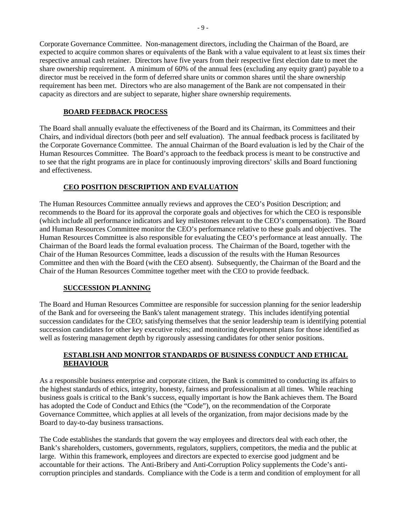Corporate Governance Committee. Non-management directors, including the Chairman of the Board, are expected to acquire common shares or equivalents of the Bank with a value equivalent to at least six times their respective annual cash retainer. Directors have five years from their respective first election date to meet the share ownership requirement. A minimum of 60% of the annual fees (excluding any equity grant) payable to a director must be received in the form of deferred share units or common shares until the share ownership requirement has been met. Directors who are also management of the Bank are not compensated in their capacity as directors and are subject to separate, higher share ownership requirements.

# **BOARD FEEDBACK PROCESS**

The Board shall annually evaluate the effectiveness of the Board and its Chairman, its Committees and their Chairs, and individual directors (both peer and self evaluation). The annual feedback process is facilitated by the Corporate Governance Committee. The annual Chairman of the Board evaluation is led by the Chair of the Human Resources Committee. The Board's approach to the feedback process is meant to be constructive and to see that the right programs are in place for continuously improving directors' skills and Board functioning and effectiveness.

# **CEO POSITION DESCRIPTION AND EVALUATION**

The Human Resources Committee annually reviews and approves the CEO's Position Description; and recommends to the Board for its approval the corporate goals and objectives for which the CEO is responsible (which include all performance indicators and key milestones relevant to the CEO's compensation). The Board and Human Resources Committee monitor the CEO's performance relative to these goals and objectives. The Human Resources Committee is also responsible for evaluating the CEO's performance at least annually. The Chairman of the Board leads the formal evaluation process. The Chairman of the Board, together with the Chair of the Human Resources Committee, leads a discussion of the results with the Human Resources Committee and then with the Board (with the CEO absent). Subsequently, the Chairman of the Board and the Chair of the Human Resources Committee together meet with the CEO to provide feedback.

# **SUCCESSION PLANNING**

The Board and Human Resources Committee are responsible for succession planning for the senior leadership of the Bank and for overseeing the Bank's talent management strategy. This includes identifying potential succession candidates for the CEO; satisfying themselves that the senior leadership team is identifying potential succession candidates for other key executive roles; and monitoring development plans for those identified as well as fostering management depth by rigorously assessing candidates for other senior positions.

# **ESTABLISH AND MONITOR STANDARDS OF BUSINESS CONDUCT AND ETHICAL BEHAVIOUR**

As a responsible business enterprise and corporate citizen, the Bank is committed to conducting its affairs to the highest standards of ethics, integrity, honesty, fairness and professionalism at all times. While reaching business goals is critical to the Bank's success, equally important is how the Bank achieves them. The Board has adopted the Code of Conduct and Ethics (the "Code"), on the recommendation of the Corporate Governance Committee, which applies at all levels of the organization, from major decisions made by the Board to day-to-day business transactions.

The Code establishes the standards that govern the way employees and directors deal with each other, the Bank's shareholders, customers, governments, regulators, suppliers, competitors, the media and the public at large.Within this framework, employees and directors are expected to exercise good judgment and be accountable for their actions. The Anti-Bribery and Anti-Corruption Policy supplements the Code's anticorruption principles and standards. Compliance with the Code is a term and condition of employment for all